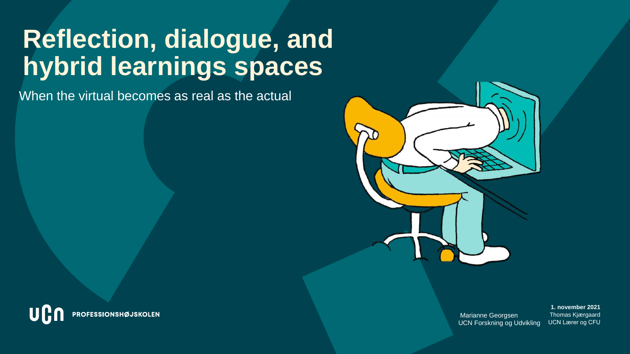# **Reflection, dialogue, and hybrid learnings spaces**

When the virtual becomes as real as the actual



Marianne Georgsen UCN Forskning og Udvikling

UCN Lærer og CFU UCN Lærer og CFU Thomas Kjærgaard Thomas Kjærgaard **1. november 2021**

UG PROFESSIONSHØJSKOLEN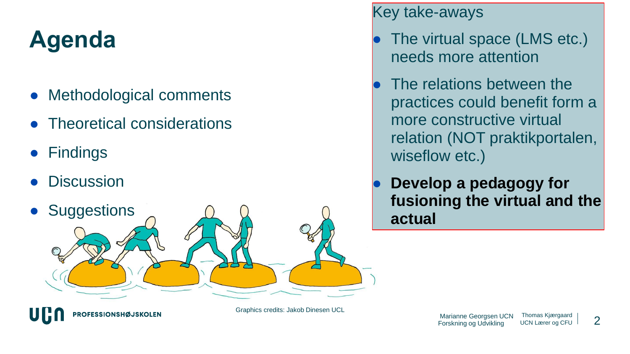## **Agenda**

- **Methodological comments**
- **Theoretical considerations**

**PROFESSIONSHØJSKOLEN** 

- Findings
- **Discussion**



Graphics credits: Jakob Dinesen UCL

Key take-aways

- The virtual space (LMS etc.) needs more attention
- The relations between the practices could benefit form a more constructive virtual relation (NOT praktikportalen, wiseflow etc.)
- **Develop a pedagogy for fusioning the virtual and the actual**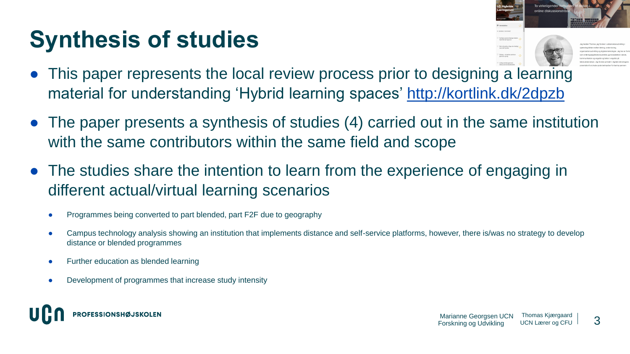## **Synthesis of studies**



- This paper represents the local review process prior to designing a learning material for understanding 'Hybrid learning spaces' <http://kortlink.dk/2dpzb>
- The paper presents a synthesis of studies (4) carried out in the same institution with the same contributors within the same field and scope
- The studies share the intention to learn from the experience of engaging in different actual/virtual learning scenarios
	- Programmes being converted to part blended, part F2F due to geography
	- Campus technology analysis showing an institution that implements distance and self-service platforms, however, there is/was no strategy to develop distance or blended programmes
	- **Further education as blended learning**
	- Development of programmes that increase study intensity

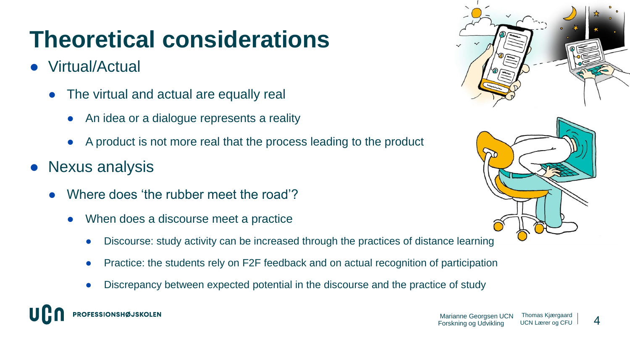## **Theoretical considerations**

- Virtual/Actual
	- The virtual and actual are equally real
		- An idea or a dialogue represents a reality
		- A product is not more real that the process leading to the product
- Nexus analysis
	- Where does 'the rubber meet the road'?
		- When does a discourse meet a practice
			- Discourse: study activity can be increased through the practices of distance learning
			- Practice: the students rely on F2F feedback and on actual recognition of participation
			- Discrepancy between expected potential in the discourse and the practice of study





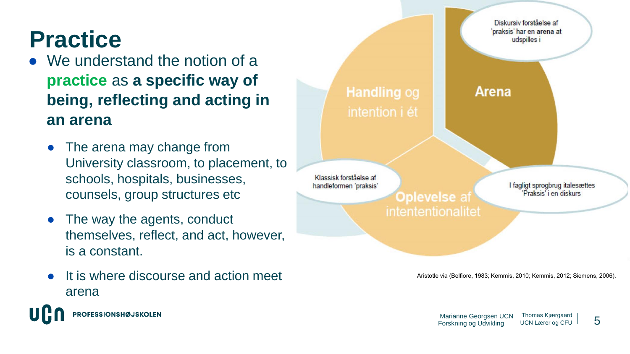## **Practice**

- We understand the notion of a **practice** as **a specific way of being, reflecting and acting in an arena** 
	- The arena may change from University classroom, to placement, to schools, hospitals, businesses, counsels, group structures etc
	- The way the agents, conduct themselves, reflect, and act, however, is a constant.
	- It is where discourse and action meet arena



Aristotle via (Belfiore, 1983; Kemmis, 2010; Kemmis, 2012; Siemens, 2006).

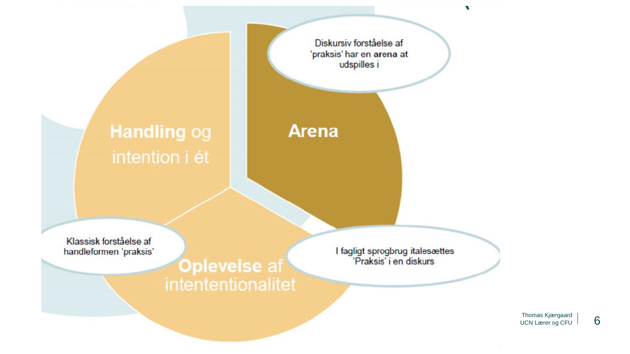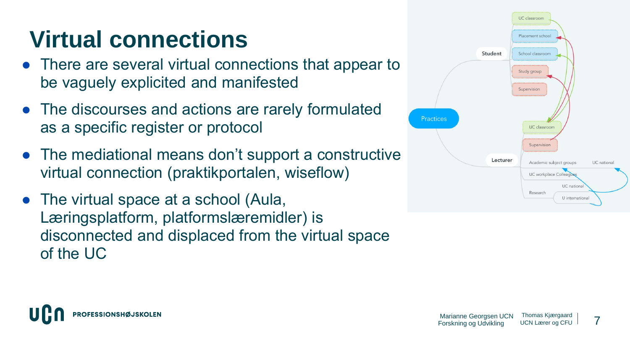## **Virtual connections**

- There are several virtual connections that appear to be vaguely explicited and manifested
- The discourses and actions are rarely formulated as a specific register or protocol
- The mediational means don't support a constructive virtual connection (praktikportalen, wiseflow)
- The virtual space at a school (Aula, Læringsplatform, platformslæremidler) is disconnected and displaced from the virtual space of the UC



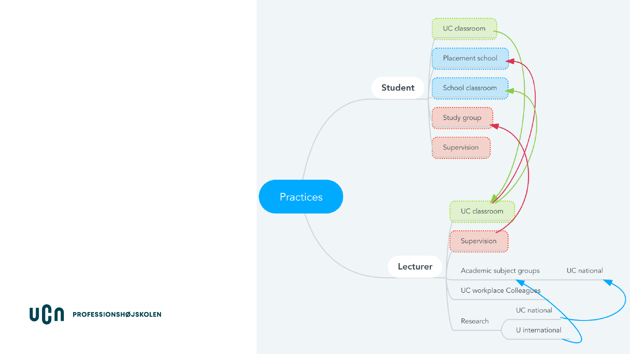

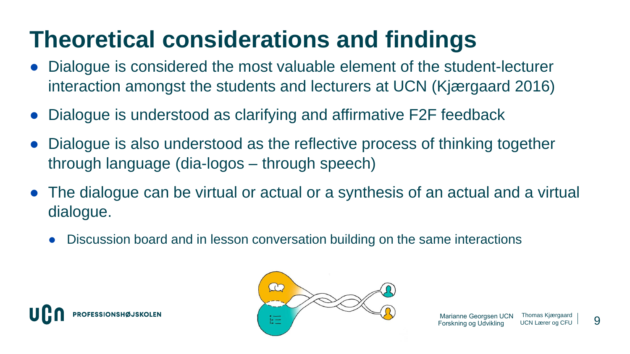### **Theoretical considerations and findings**

- Dialogue is considered the most valuable element of the student-lecturer interaction amongst the students and lecturers at UCN (Kjærgaard 2016)
- Dialogue is understood as clarifying and affirmative F2F feedback
- Dialogue is also understood as the reflective process of thinking together through language (dia-logos – through speech)
- The dialogue can be virtual or actual or a synthesis of an actual and a virtual dialogue.
	- Discussion board and in lesson conversation building on the same interactions



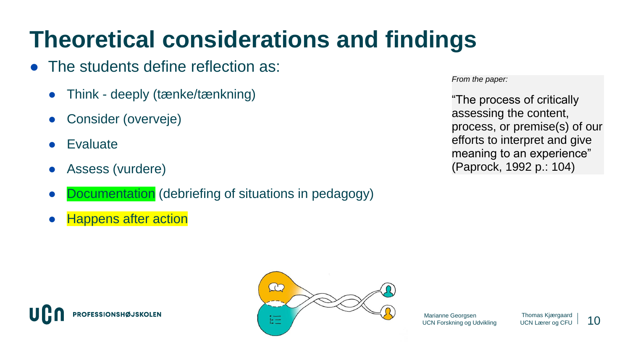## **Theoretical considerations and findings**

- The students define reflection as:
	- Think deeply (tænke/tænkning)
	- Consider (overveje)
	- **Evaluate**
	- Assess (vurdere)
	- Documentation (debriefing of situations in pedagogy)
	- **Happens after action**

**OFESSIONSHØJSKOLEN** 

*From the paper:*

"The process of critically assessing the content, process, or premise(s) of our efforts to interpret and give meaning to an experience" (Paprock, 1992 p.: 104)



10 Marianne Georgsen UCN Forskning og Udvikling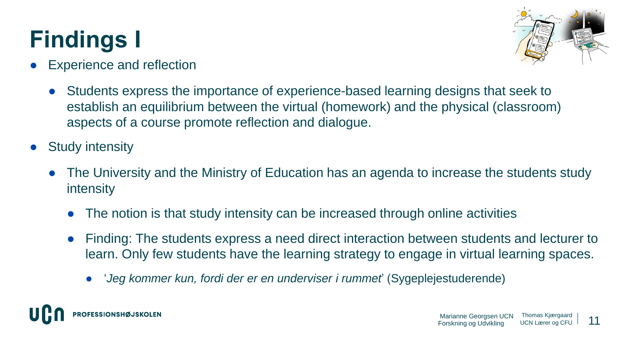# **Findings I**



- **Experience and reflection** 
	- Students express the importance of experience-based learning designs that seek to establish an equilibrium between the virtual (homework) and the physical (classroom) aspects of a course promote reflection and dialogue.
- **Study intensity** 
	- The University and the Ministry of Education has an agenda to increase the students study intensity
		- The notion is that study intensity can be increased through online activities
		- Finding: The students express a need direct interaction between students and lecturer to learn. Only few students have the learning strategy to engage in virtual learning spaces.
			- '*Jeg kommer kun, fordi der er en underviser i rummet*' (Sygeplejestuderende)

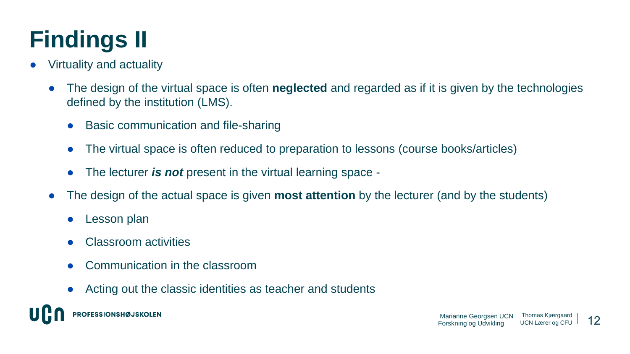# **Findings II**

- Virtuality and actuality
	- The design of the virtual space is often **neglected** and regarded as if it is given by the technologies defined by the institution (LMS).
		- **Basic communication and file-sharing**
		- The virtual space is often reduced to preparation to lessons (course books/articles)
		- The lecturer *is not* present in the virtual learning space -
	- The design of the actual space is given **most attention** by the lecturer (and by the students)
		- **Lesson plan**
		- **Classroom activities**
		- Communication in the classroom
		- Acting out the classic identities as teacher and students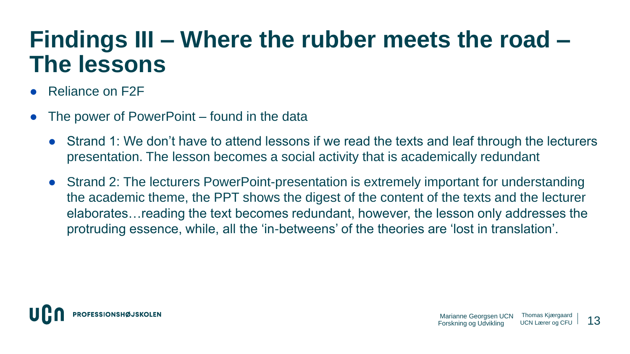#### **Findings III – Where the rubber meets the road – The lessons**

- Reliance on F2F
- The power of PowerPoint found in the data
	- Strand 1: We don't have to attend lessons if we read the texts and leaf through the lecturers presentation. The lesson becomes a social activity that is academically redundant
	- Strand 2: The lecturers PowerPoint-presentation is extremely important for understanding the academic theme, the PPT shows the digest of the content of the texts and the lecturer elaborates…reading the text becomes redundant, however, the lesson only addresses the protruding essence, while, all the 'in-betweens' of the theories are 'lost in translation'.

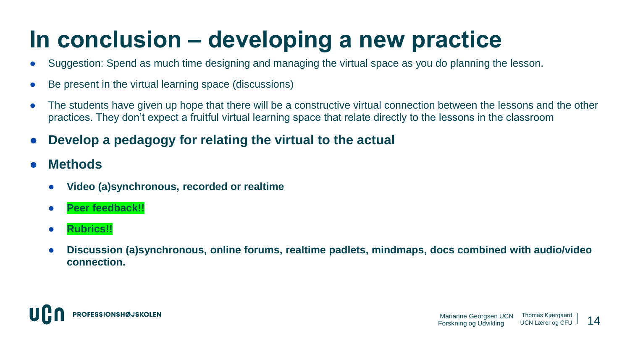## **In conclusion – developing a new practice**

- Suggestion: Spend as much time designing and managing the virtual space as you do planning the lesson.
- Be present in the virtual learning space (discussions)
- The students have given up hope that there will be a constructive virtual connection between the lessons and the other practices. They don't expect a fruitful virtual learning space that relate directly to the lessons in the classroom
- **Develop a pedagogy for relating the virtual to the actual**
- **Methods**
	- **Video (a)synchronous, recorded or realtime**
	- **Peer feedback!!**
	- **Rubrics!!**
	- **Discussion (a)synchronous, online forums, realtime padlets, mindmaps, docs combined with audio/video connection.**

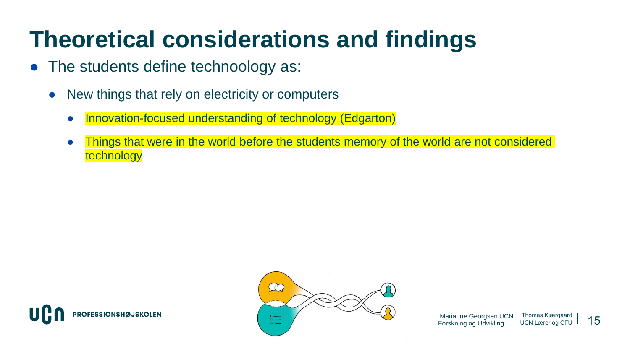## **Theoretical considerations and findings**

- The students define technoology as:
	- New things that rely on electricity or computers
		- Innovation-focused understanding of technology (Edgarton)
		- Things that were in the world before the students memory of the world are not considered technology